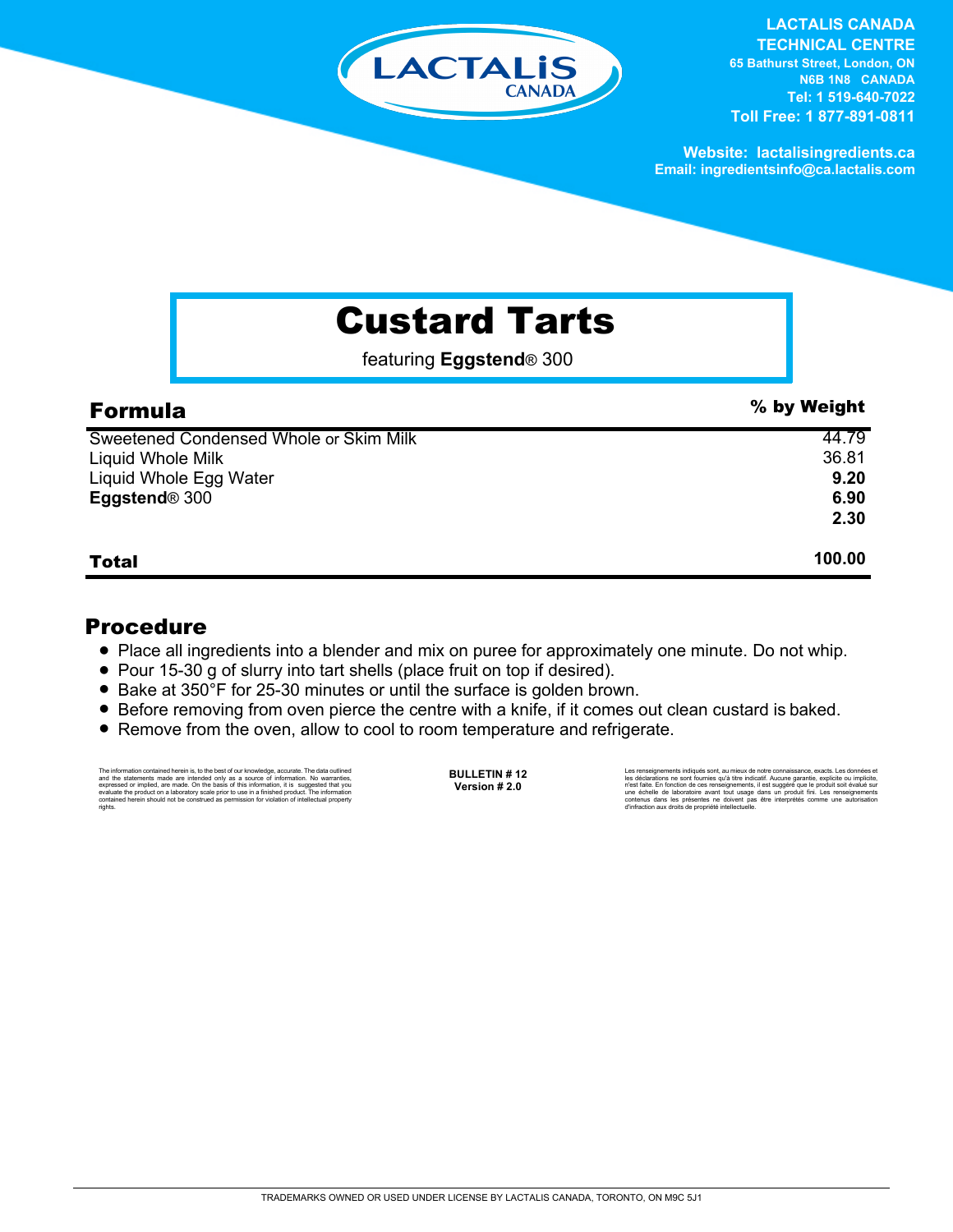

**LACTALIS CANADA** 

**TECHNICAL CENTRE 65 Bathurst Street, London, ON N6B 1N8 CANADA Tel: 1 519-640-7022 Toll Free: 1 877-891-0811**

**Website: lactalisingredients.ca Email: ingredientsinfo@ca.lactalis.com**

## Custard Tarts

featuring **Eggstend**® 300

| <b>Formula</b>                         | % by Weight |
|----------------------------------------|-------------|
| Sweetened Condensed Whole or Skim Milk | 44.79       |
| Liquid Whole Milk                      | 36.81       |
| Liquid Whole Egg Water                 | 9.20        |
| Eggstend <sup>®</sup> 300              | 6.90        |
|                                        | 2.30        |
| <b>Total</b>                           | 100.00      |

## Procedure

- Place all ingredients into a blender and mix on puree for approximately one minute. Do not whip.
- Pour 15-30 g of slurry into tart shells (place fruit on top if desired).
- Bake at 350°F for 25-30 minutes or until the surface is golden brown.
- Before removing from oven pierce the centre with a knife, if it comes out clean custard is baked.
- Remove from the oven, allow to cool to room temperature and refrigerate.

The information contained herein is, to the best of our knowledge, accurate. The data outlined and the statements made are intended only as a source of information. No warranties, expressed or implied, are made. On the bas rights.

**BULLETIN # 12 Version # 2.0**

Les renseignements indiqués sont, au mieux de notre connaissance, exacts. Les données et<br>les déclarations ne sont fournies qu'à titre indicatif. Aucune garantie, explicite ou implicite,<br>riest faite. En fonction de ces rens